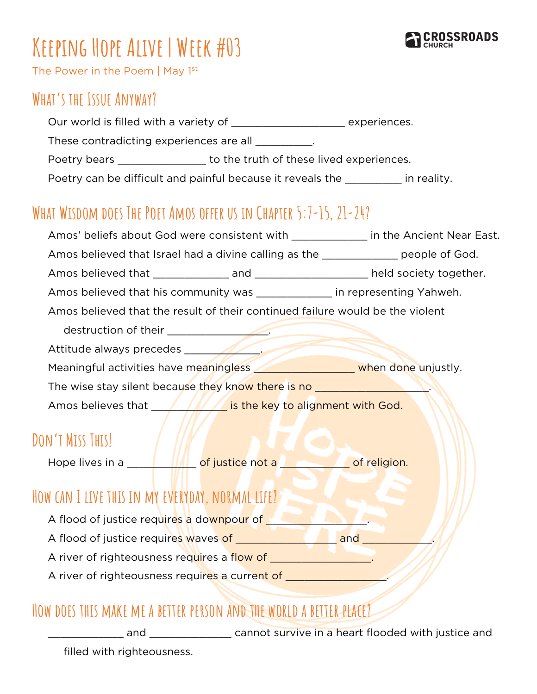

# **Keeping Hope Alive | Week #03**

The Power in the Poem | May 1<sup>st</sup>

#### **What's the Issue Anyway?**

| Our world is filled with a variety of | experiences. |
|---------------------------------------|--------------|
|                                       |              |

These contradicting experiences are all \_\_\_\_\_\_\_\_\_.

Poetry bears **Exercise 20** to the truth of these lived experiences.

Poetry can be difficult and painful because it reveals the **in** reality.

## **What Wisdom does The Poet Amos offer us in Chapter 5:7-15, 21-24?**

| Amos' beliefs about God were consistent with _____________ in the Ancient Near East.                                                                                                                                                 |                                                                                                                      |
|--------------------------------------------------------------------------------------------------------------------------------------------------------------------------------------------------------------------------------------|----------------------------------------------------------------------------------------------------------------------|
| Amos believed that Israel had a divine calling as the _____________ people of God.                                                                                                                                                   |                                                                                                                      |
|                                                                                                                                                                                                                                      |                                                                                                                      |
| Amos believed that his community was ______________ in representing Yahweh.                                                                                                                                                          |                                                                                                                      |
| Amos believed that the result of their continued failure would be the violent                                                                                                                                                        |                                                                                                                      |
|                                                                                                                                                                                                                                      |                                                                                                                      |
| Attitude always precedes                                                                                                                                                                                                             |                                                                                                                      |
| Meaningful activities have meaningless <b>With the above and when done unjustly</b> .                                                                                                                                                |                                                                                                                      |
| The wise stay silent because they know there is no <b>with the state of the state of the state of the state of the state of the state of the state of the state of the state of the state of the state of the state of the state</b> |                                                                                                                      |
| Amos believes that MANGIS the key to alignment with God.                                                                                                                                                                             |                                                                                                                      |
|                                                                                                                                                                                                                                      |                                                                                                                      |
| DON'T MISS THIS!                                                                                                                                                                                                                     |                                                                                                                      |
|                                                                                                                                                                                                                                      |                                                                                                                      |
|                                                                                                                                                                                                                                      |                                                                                                                      |
| HOW CAN I LIVE THIS IN MY EVERYDAY, NORMAL LIFE?                                                                                                                                                                                     |                                                                                                                      |
| A flood of justice requires a downpour of <b>the contract of the state of the state of the state of the state of the state of the state of the state of the state of the state of the state of the state of the state of the sta</b> |                                                                                                                      |
|                                                                                                                                                                                                                                      |                                                                                                                      |
| A river of righteousness requires a flow of ___________________.                                                                                                                                                                     |                                                                                                                      |
| A river of righteousness requires a current of _                                                                                                                                                                                     | <u> De Santa Carlos de Santa Carlos de Santa Carlos de Santa Carlos de Santa Carlos de Santa Carlos de Santa Car</u> |

#### **How does this make me a better person and the world a better place?**

and **Example 3** cannot survive in a heart flooded with justice and

filled with righteousness.